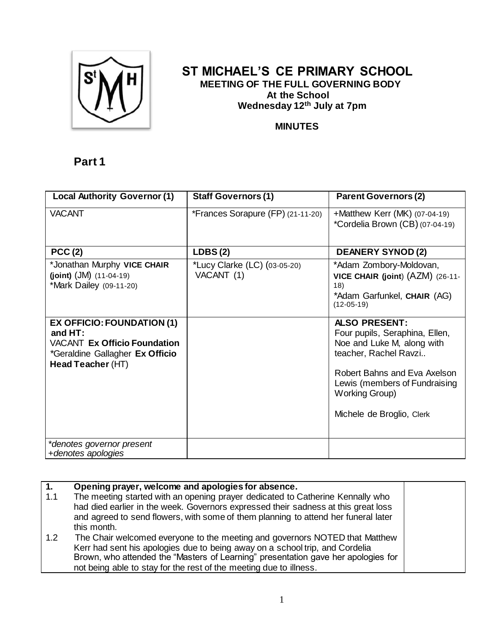

## **ST MICHAEL'S CE PRIMARY SCHOOL MEETING OF THE FULL GOVERNING BODY At the School Wednesday 12 th July at 7pm**

### **MINUTES**

# **Part 1**

| <b>Local Authority Governor (1)</b>                                                                                        | <b>Staff Governors (1)</b>                 | <b>Parent Governors (2)</b>                                                                                                                                                                                  |
|----------------------------------------------------------------------------------------------------------------------------|--------------------------------------------|--------------------------------------------------------------------------------------------------------------------------------------------------------------------------------------------------------------|
| <b>VACANT</b>                                                                                                              | *Frances Sorapure (FP) (21-11-20)          | +Matthew Kerr (MK) $(07-04-19)$<br>*Cordelia Brown (CB) (07-04-19)                                                                                                                                           |
| PCC(2)                                                                                                                     | LDBS(2)                                    | <b>DEANERY SYNOD (2)</b>                                                                                                                                                                                     |
| *Jonathan Murphy VICE CHAIR<br>(joint) $(JM)$ $(11-04-19)$<br>*Mark Dailey (09-11-20)<br><b>EX OFFICIO: FOUNDATION (1)</b> | *Lucy Clarke (LC) (03-05-20)<br>VACANT (1) | *Adam Zombory-Moldovan,<br>VICE CHAIR (joint) (AZM) (26-11-<br>18)<br>*Adam Garfunkel, CHAIR (AG)<br>$(12-05-19)$<br><b>ALSO PRESENT:</b>                                                                    |
| and $HT:$<br><b>VACANT Ex Officio Foundation</b><br>*Geraldine Gallagher Ex Officio<br>Head Teacher (HT)                   |                                            | Four pupils, Seraphina, Ellen,<br>Noe and Luke M, along with<br>teacher, Rachel Ravzi<br>Robert Bahns and Eva Axelson<br>Lewis (members of Fundraising<br><b>Working Group)</b><br>Michele de Broglio, Clerk |
| *denotes governor present<br>+denotes apologies                                                                            |                                            |                                                                                                                                                                                                              |

| 1.  | Opening prayer, welcome and apologies for absence.                                 |  |
|-----|------------------------------------------------------------------------------------|--|
| 1.1 | The meeting started with an opening prayer dedicated to Catherine Kennally who     |  |
|     | had died earlier in the week. Governors expressed their sadness at this great loss |  |
|     | and agreed to send flowers, with some of them planning to attend her funeral later |  |
|     | this month.                                                                        |  |
| 1.2 | The Chair welcomed everyone to the meeting and governors NOTED that Matthew        |  |
|     | Kerr had sent his apologies due to being away on a school trip, and Cordelia       |  |
|     | Brown, who attended the "Masters of Learning" presentation gave her apologies for  |  |
|     | not being able to stay for the rest of the meeting due to illness.                 |  |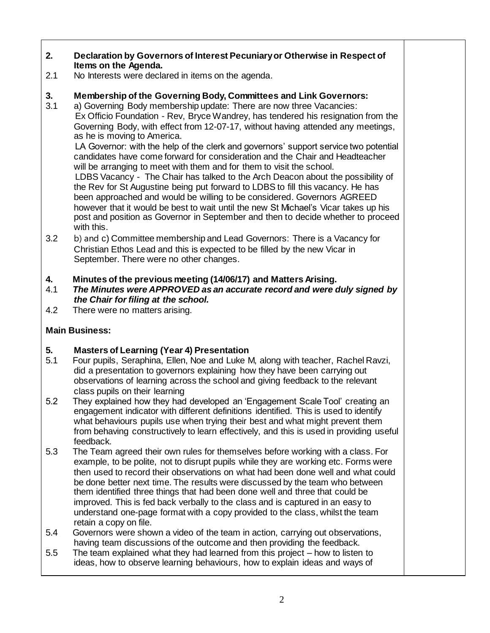### **2. Declaration by Governors of Interest Pecuniary or Otherwise in Respect of Items on the Agenda.**

2.1 No Interests were declared in items on the agenda.

### **3. Membership of the Governing Body, Committees and Link Governors:**

3.1 a) Governing Body membership update: There are now three Vacancies: Ex Officio Foundation - Rev, Bryce Wandrey, has tendered his resignation from the Governing Body, with effect from 12-07-17, without having attended any meetings, as he is moving to America.

 LA Governor: with the help of the clerk and governors' support service two potential candidates have come forward for consideration and the Chair and Headteacher will be arranging to meet with them and for them to visit the school.

 LDBS Vacancy - The Chair has talked to the Arch Deacon about the possibility of the Rev for St Augustine being put forward to LDBS to fill this vacancy. He has been approached and would be willing to be considered. Governors AGREED however that it would be best to wait until the new St Michael's Vicar takes up his post and position as Governor in September and then to decide whether to proceed with this.

3.2 b) and c) Committee membership and Lead Governors: There is a Vacancy for Christian Ethos Lead and this is expected to be filled by the new Vicar in September. There were no other changes.

#### **4. Minutes of the previous meeting (14/06/17) and Matters Arising.**

- 4.1 *The Minutes were APPROVED as an accurate record and were duly signed by the Chair for filing at the school.*
- 4.2 There were no matters arising.

### **Main Business:**

### **5. Masters of Learning (Year 4) Presentation**

- 5.1 Four pupils, Seraphina, Ellen, Noe and Luke M, along with teacher, Rachel Ravzi, did a presentation to governors explaining how they have been carrying out observations of learning across the school and giving feedback to the relevant class pupils on their learning
- 5.2 They explained how they had developed an 'Engagement Scale Tool' creating an engagement indicator with different definitions identified. This is used to identify what behaviours pupils use when trying their best and what might prevent them from behaving constructively to learn effectively, and this is used in providing useful feedback.
- 5.3 The Team agreed their own rules for themselves before working with a class. For example, to be polite, not to disrupt pupils while they are working etc. Forms were then used to record their observations on what had been done well and what could be done better next time. The results were discussed by the team who between them identified three things that had been done well and three that could be improved. This is fed back verbally to the class and is captured in an easy to understand one-page format with a copy provided to the class, whilst the team retain a copy on file.
- 5.4 Governors were shown a video of the team in action, carrying out observations, having team discussions of the outcome and then providing the feedback.
- 5.5 The team explained what they had learned from this project how to listen to ideas, how to observe learning behaviours, how to explain ideas and ways of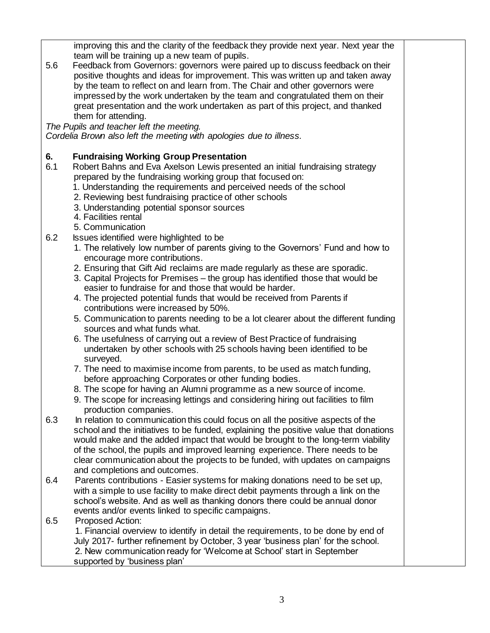|     | improving this and the clarity of the feedback they provide next year. Next year the                                             |  |
|-----|----------------------------------------------------------------------------------------------------------------------------------|--|
|     | team will be training up a new team of pupils.                                                                                   |  |
| 5.6 | Feedback from Governors: governors were paired up to discuss feedback on their                                                   |  |
|     | positive thoughts and ideas for improvement. This was written up and taken away                                                  |  |
|     | by the team to reflect on and learn from. The Chair and other governors were                                                     |  |
|     | impressed by the work undertaken by the team and congratulated them on their                                                     |  |
|     | great presentation and the work undertaken as part of this project, and thanked                                                  |  |
|     | them for attending.<br>The Pupils and teacher left the meeting.                                                                  |  |
|     | Cordelia Brown also left the meeting with apologies due to illness.                                                              |  |
|     |                                                                                                                                  |  |
| 6.  | <b>Fundraising Working Group Presentation</b>                                                                                    |  |
| 6.1 | Robert Bahns and Eva Axelson Lewis presented an initial fundraising strategy                                                     |  |
|     | prepared by the fundraising working group that focused on:                                                                       |  |
|     | 1. Understanding the requirements and perceived needs of the school                                                              |  |
|     | 2. Reviewing best fundraising practice of other schools                                                                          |  |
|     | 3. Understanding potential sponsor sources                                                                                       |  |
|     | 4. Facilities rental                                                                                                             |  |
|     | 5. Communication                                                                                                                 |  |
| 6.2 | Issues identified were highlighted to be                                                                                         |  |
|     | 1. The relatively low number of parents giving to the Governors' Fund and how to<br>encourage more contributions.                |  |
|     | 2. Ensuring that Gift Aid reclaims are made regularly as these are sporadic.                                                     |  |
|     | 3. Capital Projects for Premises – the group has identified those that would be                                                  |  |
|     | easier to fundraise for and those that would be harder.                                                                          |  |
|     | 4. The projected potential funds that would be received from Parents if                                                          |  |
|     | contributions were increased by 50%.                                                                                             |  |
|     | 5. Communication to parents needing to be a lot clearer about the different funding                                              |  |
|     | sources and what funds what.                                                                                                     |  |
|     | 6. The usefulness of carrying out a review of Best Practice of fundraising                                                       |  |
|     | undertaken by other schools with 25 schools having been identified to be                                                         |  |
|     | surveyed.                                                                                                                        |  |
|     | 7. The need to maximise income from parents, to be used as match funding,                                                        |  |
|     | before approaching Corporates or other funding bodies.<br>8. The scope for having an Alumni programme as a new source of income. |  |
|     | 9. The scope for increasing lettings and considering hiring out facilities to film                                               |  |
|     | production companies.                                                                                                            |  |
| 6.3 | In relation to communication this could focus on all the positive aspects of the                                                 |  |
|     | school and the initiatives to be funded, explaining the positive value that donations                                            |  |
|     | would make and the added impact that would be brought to the long-term viability                                                 |  |
|     | of the school, the pupils and improved learning experience. There needs to be                                                    |  |
|     | clear communication about the projects to be funded, with updates on campaigns                                                   |  |
|     | and completions and outcomes.                                                                                                    |  |
| 6.4 | Parents contributions - Easier systems for making donations need to be set up,                                                   |  |
|     | with a simple to use facility to make direct debit payments through a link on the                                                |  |
|     | school's website. And as well as thanking donors there could be annual donor                                                     |  |
|     | events and/or events linked to specific campaigns.                                                                               |  |
| 6.5 | Proposed Action:<br>1. Financial overview to identify in detail the requirements, to be done by end of                           |  |
|     | July 2017- further refinement by October, 3 year 'business plan' for the school.                                                 |  |
|     | 2. New communication ready for 'Welcome at School' start in September                                                            |  |
|     | supported by 'business plan'                                                                                                     |  |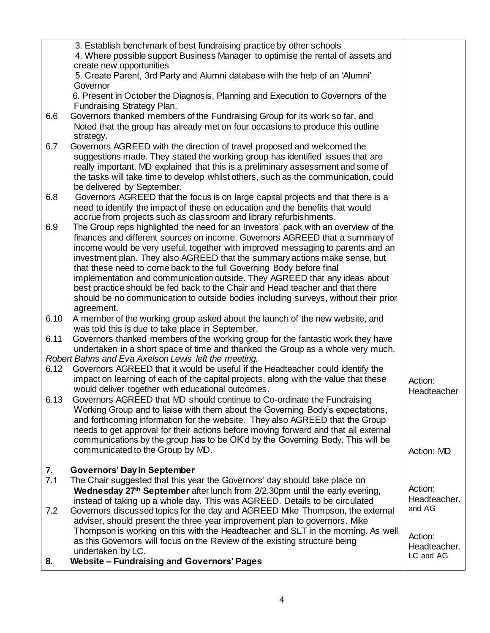|      | 3. Establish benchmark of best fundraising practice by other schools                                                                                       |              |
|------|------------------------------------------------------------------------------------------------------------------------------------------------------------|--------------|
|      | 4. Where possible support Business Manager to optimise the rental of assets and                                                                            |              |
|      | create new opportunities                                                                                                                                   |              |
|      | 5. Create Parent, 3rd Party and Alumni database with the help of an 'Alumni'<br>Governor                                                                   |              |
|      | 6. Present in October the Diagnosis, Planning and Execution to Governors of the                                                                            |              |
|      | Fundraising Strategy Plan.                                                                                                                                 |              |
| 6.6  | Governors thanked members of the Fundraising Group for its work so far, and                                                                                |              |
|      | Noted that the group has already met on four occasions to produce this outline                                                                             |              |
|      | strategy.                                                                                                                                                  |              |
| 6.7  | Governors AGREED with the direction of travel proposed and welcomed the                                                                                    |              |
|      | suggestions made. They stated the working group has identified issues that are                                                                             |              |
|      | really important. MD explained that this is a preliminary assessment and some of                                                                           |              |
|      | the tasks will take time to develop whilst others, such as the communication, could                                                                        |              |
|      | be delivered by September.                                                                                                                                 |              |
| 6.8  | Governors AGREED that the focus is on large capital projects and that there is a                                                                           |              |
|      | need to identify the impact of these on education and the benefits that would                                                                              |              |
|      | accrue from projects such as classroom and library refurbishments.                                                                                         |              |
| 6.9  | The Group reps highlighted the need for an Investors' pack with an overview of the                                                                         |              |
|      | finances and different sources on income. Governors AGREED that a summary of                                                                               |              |
|      | income would be very useful, together with improved messaging to parents and an                                                                            |              |
|      | investment plan. They also AGREED that the summary actions make sense, but                                                                                 |              |
|      | that these need to come back to the full Governing Body before final                                                                                       |              |
|      | implementation and communication outside. They AGREED that any ideas about                                                                                 |              |
|      | best practice should be fed back to the Chair and Head teacher and that there                                                                              |              |
|      | should be no communication to outside bodies including surveys, without their prior                                                                        |              |
| 6.10 | agreement.<br>A member of the working group asked about the launch of the new website, and                                                                 |              |
|      | was told this is due to take place in September.                                                                                                           |              |
| 6.11 | Governors thanked members of the working group for the fantastic work they have                                                                            |              |
|      | undertaken in a short space of time and thanked the Group as a whole very much.                                                                            |              |
|      | Robert Bahns and Eva Axelson Lewis left the meeting.                                                                                                       |              |
| 6.12 | Governors AGREED that it would be useful if the Headteacher could identify the                                                                             |              |
|      | impact on learning of each of the capital projects, along with the value that these                                                                        | Action:      |
|      | would deliver together with educational outcomes.                                                                                                          | Headteacher  |
| 6.13 | Governors AGREED that MD should continue to Co-ordinate the Fundraising                                                                                    |              |
|      | Working Group and to liaise with them about the Governing Body's expectations,                                                                             |              |
|      | and forthcoming information for the website. They also AGREED that the Group                                                                               |              |
|      | needs to get approval for their actions before moving forward and that all external                                                                        |              |
|      | communications by the group has to be OK'd by the Governing Body. This will be                                                                             |              |
|      | communicated to the Group by MD.                                                                                                                           | Action: MD   |
|      |                                                                                                                                                            |              |
| 7.   | <b>Governors' Day in September</b>                                                                                                                         |              |
| 7.1  | The Chair suggested that this year the Governors' day should take place on                                                                                 | Action:      |
|      | Wednesday 27th September after lunch from 2/2.30pm until the early evening,<br>instead of taking up a whole day. This was AGREED. Details to be circulated | Headteacher. |
| 7.2  | Governors discussed topics for the day and AGREED Mike Thompson, the external                                                                              | and AG       |
|      | adviser, should present the three year improvement plan to governors. Mike                                                                                 |              |
|      | Thompson is working on this with the Headteacher and SLT in the morning. As well                                                                           |              |
|      | as this Governors will focus on the Review of the existing structure being                                                                                 | Action:      |
|      | undertaken by LC.                                                                                                                                          | Headteacher. |
| 8.   | <b>Website - Fundraising and Governors' Pages</b>                                                                                                          | LC and AG    |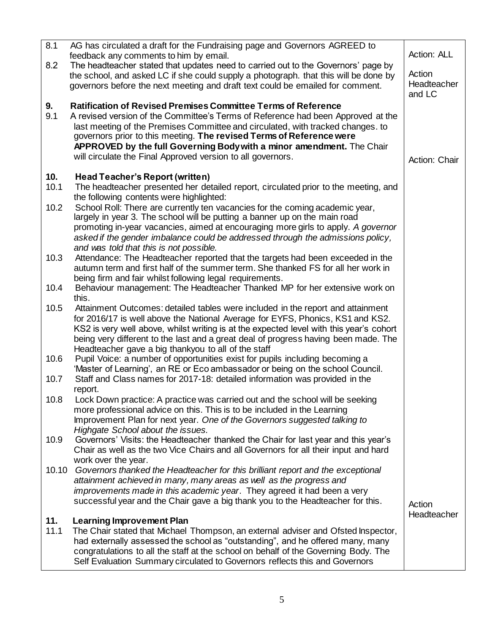| 8.1         | AG has circulated a draft for the Fundraising page and Governors AGREED to<br>feedback any comments to him by email.                                  | Action: ALL           |
|-------------|-------------------------------------------------------------------------------------------------------------------------------------------------------|-----------------------|
| 8.2         | The headteacher stated that updates need to carried out to the Governors' page by                                                                     |                       |
|             | the school, and asked LC if she could supply a photograph. that this will be done by                                                                  | Action                |
|             | governors before the next meeting and draft text could be emailed for comment.                                                                        | Headteacher<br>and LC |
| 9.          | <b>Ratification of Revised Premises Committee Terms of Reference</b>                                                                                  |                       |
| 9.1         | A revised version of the Committee's Terms of Reference had been Approved at the                                                                      |                       |
|             | last meeting of the Premises Committee and circulated, with tracked changes. to                                                                       |                       |
|             | governors prior to this meeting. The revised Terms of Reference were<br>APPROVED by the full Governing Body with a minor amendment. The Chair         |                       |
|             | will circulate the Final Approved version to all governors.                                                                                           |                       |
|             |                                                                                                                                                       | Action: Chair         |
| 10.         | <b>Head Teacher's Report (written)</b>                                                                                                                |                       |
| 10.1        | The headteacher presented her detailed report, circulated prior to the meeting, and<br>the following contents were highlighted:                       |                       |
| 10.2        | School Roll: There are currently ten vacancies for the coming academic year,                                                                          |                       |
|             | largely in year 3. The school will be putting a banner up on the main road                                                                            |                       |
|             | promoting in-year vacancies, aimed at encouraging more girls to apply. A governor                                                                     |                       |
|             | asked if the gender imbalance could be addressed through the admissions policy,                                                                       |                       |
| 10.3        | and was told that this is not possible.<br>Attendance: The Headteacher reported that the targets had been exceeded in the                             |                       |
|             | autumn term and first half of the summer term. She thanked FS for all her work in                                                                     |                       |
|             | being firm and fair whilst following legal requirements.                                                                                              |                       |
| 10.4        | Behaviour management: The Headteacher Thanked MP for her extensive work on                                                                            |                       |
| 10.5        | this.<br>Attainment Outcomes: detailed tables were included in the report and attainment                                                              |                       |
|             | for 2016/17 is well above the National Average for EYFS, Phonics, KS1 and KS2.                                                                        |                       |
|             | KS2 is very well above, whilst writing is at the expected level with this year's cohort                                                               |                       |
|             | being very different to the last and a great deal of progress having been made. The                                                                   |                       |
| 10.6        | Headteacher gave a big thankyou to all of the staff<br>Pupil Voice: a number of opportunities exist for pupils including becoming a                   |                       |
|             | 'Master of Learning', an RE or Eco ambassador or being on the school Council.                                                                         |                       |
| 10.7        | Staff and Class names for 2017-18: detailed information was provided in the                                                                           |                       |
|             | report.                                                                                                                                               |                       |
| 10.8        | Lock Down practice: A practice was carried out and the school will be seeking                                                                         |                       |
|             | more professional advice on this. This is to be included in the Learning<br>Improvement Plan for next year. One of the Governors suggested talking to |                       |
|             | Highgate School about the issues.                                                                                                                     |                       |
| 10.9        | Governors' Visits: the Headteacher thanked the Chair for last year and this year's                                                                    |                       |
|             | Chair as well as the two Vice Chairs and all Governors for all their input and hard                                                                   |                       |
| 10.10       | work over the year.<br>Governors thanked the Headteacher for this brilliant report and the exceptional                                                |                       |
|             | attainment achieved in many, many areas as well as the progress and                                                                                   |                       |
|             | improvements made in this academic year. They agreed it had been a very                                                                               |                       |
|             | successful year and the Chair gave a big thank you to the Headteacher for this.                                                                       | Action                |
|             |                                                                                                                                                       | Headteacher           |
| 11.<br>11.1 | <b>Learning Improvement Plan</b><br>The Chair stated that Michael Thompson, an external adviser and Ofsted Inspector,                                 |                       |
|             | had externally assessed the school as "outstanding", and he offered many, many                                                                        |                       |
|             | congratulations to all the staff at the school on behalf of the Governing Body. The                                                                   |                       |
|             | Self Evaluation Summary circulated to Governors reflects this and Governors                                                                           |                       |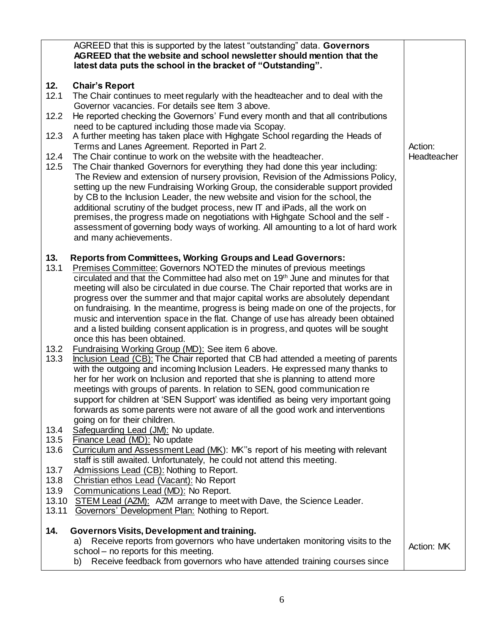|                                             | AGREED that this is supported by the latest "outstanding" data. Governors<br>AGREED that the website and school newsletter should mention that the<br>latest data puts the school in the bracket of "Outstanding".                                                                                                                                                                                                                                                                                                                                                                                                                                                                                                                                                                                                                                                                                                                                                                                                                                                                                                                         |                        |
|---------------------------------------------|--------------------------------------------------------------------------------------------------------------------------------------------------------------------------------------------------------------------------------------------------------------------------------------------------------------------------------------------------------------------------------------------------------------------------------------------------------------------------------------------------------------------------------------------------------------------------------------------------------------------------------------------------------------------------------------------------------------------------------------------------------------------------------------------------------------------------------------------------------------------------------------------------------------------------------------------------------------------------------------------------------------------------------------------------------------------------------------------------------------------------------------------|------------------------|
| 12.<br>12.1<br>12.2<br>12.3<br>12.4<br>12.5 | <b>Chair's Report</b><br>The Chair continues to meet regularly with the headteacher and to deal with the<br>Governor vacancies. For details see Item 3 above.<br>He reported checking the Governors' Fund every month and that all contributions<br>need to be captured including those made via Scopay.<br>A further meeting has taken place with Highgate School regarding the Heads of<br>Terms and Lanes Agreement. Reported in Part 2.<br>The Chair continue to work on the website with the headteacher.<br>The Chair thanked Governors for everything they had done this year including:<br>The Review and extension of nursery provision, Revision of the Admissions Policy,<br>setting up the new Fundraising Working Group, the considerable support provided<br>by CB to the Inclusion Leader, the new website and vision for the school, the<br>additional scrutiny of the budget process, new IT and iPads, all the work on<br>premises, the progress made on negotiations with Highgate School and the self -<br>assessment of governing body ways of working. All amounting to a lot of hard work<br>and many achievements. | Action:<br>Headteacher |
| 13.<br>13.1                                 | <b>Reports from Committees, Working Groups and Lead Governors:</b><br>Premises Committee: Governors NOTED the minutes of previous meetings<br>circulated and that the Committee had also met on 19th June and minutes for that<br>meeting will also be circulated in due course. The Chair reported that works are in<br>progress over the summer and that major capital works are absolutely dependant<br>on fundraising. In the meantime, progress is being made on one of the projects, for<br>music and intervention space in the flat. Change of use has already been obtained<br>and a listed building consent application is in progress, and quotes will be sought<br>once this has been obtained.                                                                                                                                                                                                                                                                                                                                                                                                                                 |                        |
| 13.2<br>13.3                                | Fundraising Working Group (MD): See item 6 above.<br>Inclusion Lead (CB): The Chair reported that CB had attended a meeting of parents<br>with the outgoing and incoming Inclusion Leaders. He expressed many thanks to<br>her for her work on Inclusion and reported that she is planning to attend more<br>meetings with groups of parents. In relation to SEN, good communication re<br>support for children at 'SEN Support' was identified as being very important going<br>forwards as some parents were not aware of all the good work and interventions<br>going on for their children.                                                                                                                                                                                                                                                                                                                                                                                                                                                                                                                                            |                        |
| 13.4<br>13.5<br>13.6                        | Safeguarding Lead (JM): No update.<br>Finance Lead (MD): No update<br>Curriculum and Assessment Lead (MK): MK"s report of his meeting with relevant<br>staff is still awaited. Unfortunately, he could not attend this meeting.                                                                                                                                                                                                                                                                                                                                                                                                                                                                                                                                                                                                                                                                                                                                                                                                                                                                                                            |                        |
| 13.7<br>13.8<br>13.9<br>13.10<br>13.11      | Admissions Lead (CB): Nothing to Report.<br>Christian ethos Lead (Vacant): No Report<br>Communications Lead (MD): No Report.<br>STEM Lead (AZM): AZM arrange to meet with Dave, the Science Leader.<br>Governors' Development Plan: Nothing to Report.                                                                                                                                                                                                                                                                                                                                                                                                                                                                                                                                                                                                                                                                                                                                                                                                                                                                                     |                        |
| 14.                                         | Governors Visits, Development and training.<br>Receive reports from governors who have undertaken monitoring visits to the<br>a)<br>school - no reports for this meeting.<br>Receive feedback from governors who have attended training courses since<br>b)                                                                                                                                                                                                                                                                                                                                                                                                                                                                                                                                                                                                                                                                                                                                                                                                                                                                                | Action: MK             |